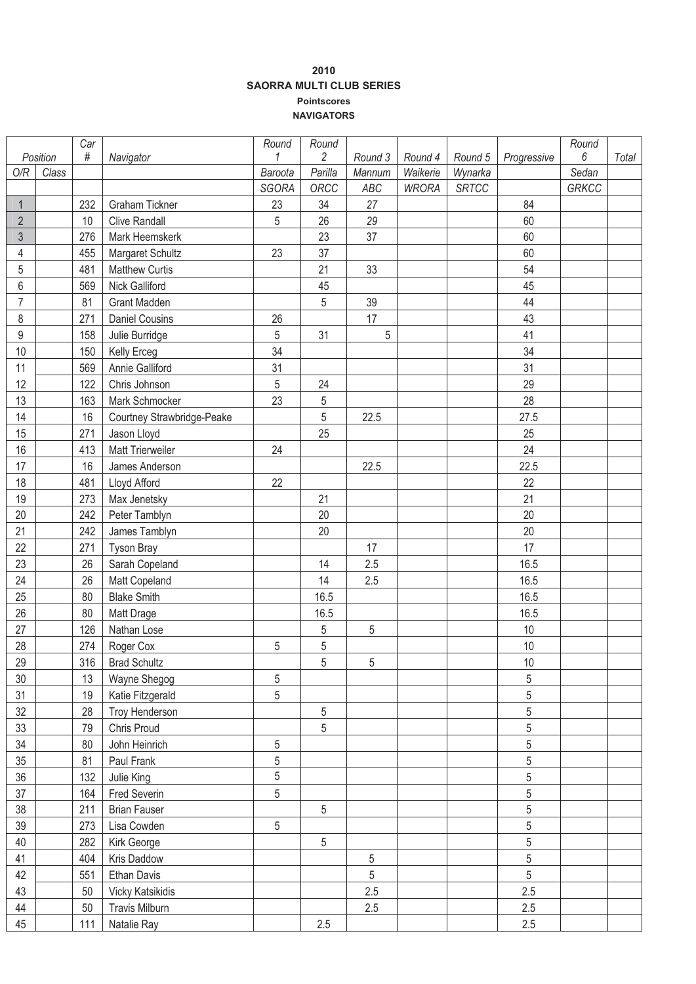## **2010 SAORRA MULTI CLUB SERIES Pointscores NAVIGATORS**

|                  |       | Car  |                            | Round   | Round          |         |              |              |             | Round        |       |
|------------------|-------|------|----------------------------|---------|----------------|---------|--------------|--------------|-------------|--------------|-------|
| Position         |       | $\#$ | Navigator                  |         | $\overline{2}$ | Round 3 | Round 4      | Round 5      | Progressive | 6            | Total |
| O/R              | Class |      |                            | Baroota | Parilla        | Mannum  | Waikerie     | Wynarka      |             | Sedan        |       |
|                  |       |      |                            | SGORA   | ORCC           | ABC     | <b>WRORA</b> | <b>SRTCC</b> |             | <b>GRKCC</b> |       |
| 1                |       | 232  | <b>Graham Tickner</b>      | 23      | 34             | 27      |              |              | 84          |              |       |
| $\overline{2}$   |       | 10   | <b>Clive Randall</b>       | 5       | 26             | 29      |              |              | 60          |              |       |
| $\mathfrak{Z}$   |       | 276  | Mark Heemskerk             |         | 23             | 37      |              |              | 60          |              |       |
| 4                |       | 455  | Margaret Schultz           | 23      | 37             |         |              |              | 60          |              |       |
| 5                |       | 481  | <b>Matthew Curtis</b>      |         | 21             | 33      |              |              | 54          |              |       |
| 6                |       | 569  | <b>Nick Galliford</b>      |         | 45             |         |              |              | 45          |              |       |
| 7                |       | 81   | <b>Grant Madden</b>        |         | 5              | 39      |              |              | 44          |              |       |
| 8                |       | 271  | <b>Daniel Cousins</b>      | 26      |                | 17      |              |              | 43          |              |       |
| $\boldsymbol{9}$ |       | 158  | Julie Burridge             | 5       | 31             | 5       |              |              | 41          |              |       |
| $10$             |       | 150  | Kelly Erceg                | 34      |                |         |              |              | 34          |              |       |
| 11               |       | 569  | Annie Galliford            | 31      |                |         |              |              | 31          |              |       |
| 12               |       | 122  | Chris Johnson              | 5       | 24             |         |              |              | 29          |              |       |
| 13               |       | 163  | Mark Schmocker             | 23      | 5              |         |              |              | 28          |              |       |
| 14               |       | 16   | Courtney Strawbridge-Peake |         | 5              | 22.5    |              |              | 27.5        |              |       |
| 15               |       | 271  | Jason Lloyd                |         | 25             |         |              |              | 25          |              |       |
| 16               |       | 413  | Matt Trierweiler           | 24      |                |         |              |              | 24          |              |       |
| 17               |       | 16   | James Anderson             |         |                | 22.5    |              |              | 22.5        |              |       |
| 18               |       | 481  | Lloyd Afford               | 22      |                |         |              |              | 22          |              |       |
| 19               |       | 273  | Max Jenetsky               |         | 21             |         |              |              | 21          |              |       |
| 20               |       | 242  | Peter Tamblyn              |         | 20             |         |              |              | 20          |              |       |
| 21               |       | 242  | James Tamblyn              |         | 20             |         |              |              | 20          |              |       |
| 22               |       | 271  | <b>Tyson Bray</b>          |         |                | 17      |              |              | 17          |              |       |
| 23               |       | 26   | Sarah Copeland             |         | 14             | 2.5     |              |              | 16.5        |              |       |
| 24               |       | 26   | Matt Copeland              |         | 14             | 2.5     |              |              | 16.5        |              |       |
| 25               |       | 80   | <b>Blake Smith</b>         |         | 16.5           |         |              |              | 16.5        |              |       |
| 26               |       | 80   | Matt Drage                 |         | 16.5           |         |              |              | 16.5        |              |       |
| 27               |       | 126  | Nathan Lose                |         | 5              | 5       |              |              | 10          |              |       |
| 28               |       | 274  | Roger Cox                  | 5       | 5              |         |              |              | $10$        |              |       |
| 29               |       | 316  | <b>Brad Schultz</b>        |         | 5              | 5       |              |              | $10$        |              |       |
| 30               |       | 13   | Wayne Shegog               | 5       |                |         |              |              | 5           |              |       |
| 31               |       | 19   | Katie Fitzgerald           | 5       |                |         |              |              | 5           |              |       |
| 32               |       | 28   | Troy Henderson             |         | 5              |         |              |              | 5           |              |       |
| 33               |       | 79   | Chris Proud                |         | 5              |         |              |              | 5           |              |       |
| 34               |       | 80   | John Heinrich              | 5       |                |         |              |              | 5           |              |       |
| 35               |       | 81   | Paul Frank                 | 5       |                |         |              |              | 5           |              |       |
| 36               |       | 132  | Julie King                 | 5       |                |         |              |              | 5           |              |       |
| 37               |       | 164  | Fred Severin               | 5       |                |         |              |              | 5           |              |       |
| 38               |       | 211  | <b>Brian Fauser</b>        |         | 5              |         |              |              | 5           |              |       |
| 39               |       | 273  | Lisa Cowden                | 5       |                |         |              |              | 5           |              |       |
| 40               |       | 282  | Kirk George                |         | 5              |         |              |              | 5           |              |       |
| 41               |       | 404  | Kris Daddow                |         |                | 5       |              |              | 5           |              |       |
| 42               |       | 551  | <b>Ethan Davis</b>         |         |                | 5       |              |              | 5           |              |       |
| 43               |       | 50   | Vicky Katsikidis           |         |                | 2.5     |              |              | 2.5         |              |       |
| 44               |       | 50   | <b>Travis Milburn</b>      |         |                | 2.5     |              |              | 2.5         |              |       |
| 45               |       | 111  | Natalie Ray                |         | 2.5            |         |              |              | 2.5         |              |       |